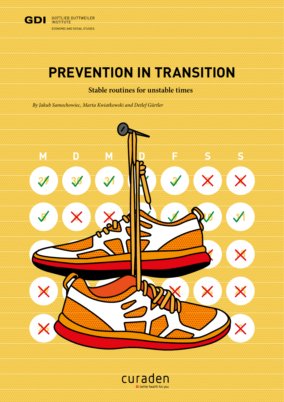

# **PREVENTION IN TRANSITION**

## **Stable routines for unstable times**

*By Jakub Samochowiec, Marta Kwiatkowski and Detlef Gürtler*



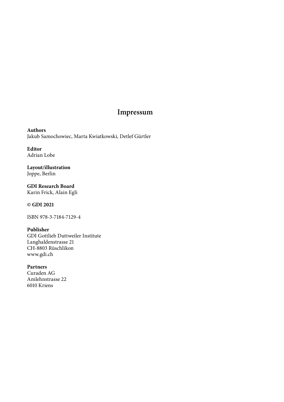### **Impressum**

**Authors** Jakub Samochowiec, Marta Kwiatkowski, Detlef Gürtler

**Editor** Adrian Lobe

**Layout/illustration** Joppe, Berlin

**GDI Research Board** Karin Frick, Alain Egli

**© GDI 2021**

ISBN 978-3-7184-7129-4

#### **Publisher**

GDI Gottlieb Duttweiler Institute Langhaldenstrasse 21 CH-8803 Rüschlikon [www.gdi.ch](http://www.gdi.ch)

#### **Partners**

Curaden AG Amlehnstrasse 22 6010 Kriens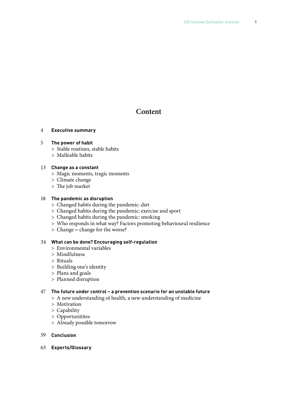### **Content**

#### 4 **Executive summary**

#### 5 **The power of habit**

- > Stable routines, stable habits
- > Malleable habits

#### 13 **Change as a constant**

- > Magic moments, tragic moments
- > Climate change
- > The job market

#### 18 **The pandemic as disruption**

- > Changed habits during the pandemic: diet
- > Changed habits during the pandemic: exercise and sport
- > Changed habits during the pandemic: smoking
- > Who responds in what way? Factors promoting behavioural resilience
- > Change = change for the worse?

#### 34 **What can be done? Encouraging self-regulation**

- > Environmental variables
- > Mindfulness
- > Rituals
- > Building one's identity
- > Plans and goals
- > Planned disruption

#### 47 **The future under control – a prevention scenario for an unstable future**

- > A new understanding of health, a new understanding of medicine
- > Motivation
- > Capability
- > Opportunitites
- > Already possible tomorrow
- 59 **Conclusion**
- 63 **Experts/Glossary**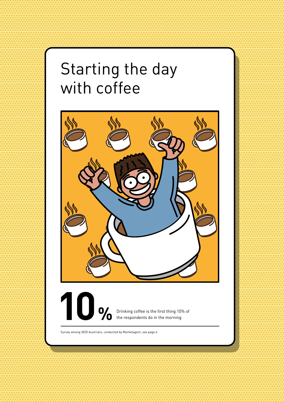# Starting the day with coffee

2 PREVENTION IN TRANSITION IN TRANSITION IN TERMINE DES LATINGS DE LATINGS DE LATINGS DE LATINGS DE LATINGS DE<br>2 DE LATINGS DE LATINGS DE LATINGS DE LATINGS DE LA INSTITUTE DE LA INSTITUTE DE LA INSTITUTION DE LA INSTITUT

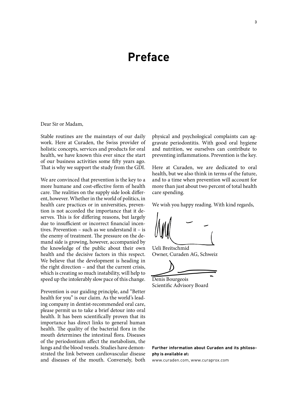## **Preface**

Dear Sir or Madam,

Stable routines are the mainstays of our daily work. Here at Curaden, the Swiss provider of holistic concepts, services and products for oral health, we have known this ever since the start of our business activities some fifty years ago. That is why we support the study from the GDI.

We are convinced that prevention is the key to a more humane and cost-effective form of health care. The realities on the supply side look different, however. Whether in the world of politics, in health care practices or in universities, prevention is not accorded the importance that it deserves. This is for differing reasons, but largely due to insufficient or incorrect financial incentives. Prevention – such as we understand it – is the enemy of treatment. The pressure on the demand side is growing, however, accompanied by the knowledge of the public about their own health and the decisive factors in this respect. We believe that the development is heading in the right direction – and that the current crisis, which is creating so much instability, will help to speed up the intolerably slow pace of this change.

Prevention is our guiding principle, and "Better health for you" is our claim. As the world's leading company in dentist-recommended oral care, please permit us to take a brief detour into oral health. It has been scientifically proven that its importance has direct links to general human health. The quality of the bacterial flora in the mouth determines the intestinal flora. Diseases of the periodontium affect the metabolism, the lungs and the blood vessels. Studies have demonstrated the link between cardiovascular disease and diseases of the mouth. Conversely, both physical and psychological complaints can aggravate periodontitis. With good oral hygiene and nutrition, we ourselves can contribute to preventing inflammations. Prevention is the key.

Here at Curaden, we are dedicated to oral health, but we also think in terms of the future, and to a time when prevention will account for more than just about two percent of total health care spending.

We wish you happy reading. With kind regards,

Ueli Breitschmid Owner, Curaden AG, Schweiz

Denis Bourgeois

Scientific Advisory Board

**Further information about Curaden and its philosophy is available at:** 

www.curaden.com, www.curaprox.com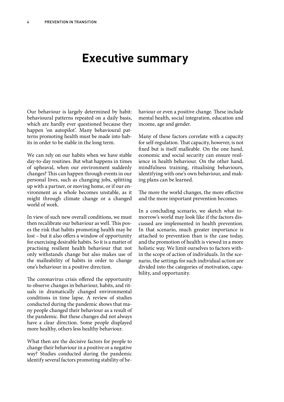# **Executive summary**

Our behaviour is largely determined by habit: behavioural patterns repeated on a daily basis, which are hardly ever questioned because they happen 'on autopilot'. Many behavioural patterns promoting health must be made into habits in order to be stable in the long term.

We can rely on our habits when we have stable day-to-day routines. But what happens in times of upheaval, when our environment suddenly changes? This can happen through events in our personal lives, such as changing jobs, splitting up with a partner, or moving home, or if our environment as a whole becomes unstable, as it might through climate change or a changed world of work.

In view of such new overall conditions, we must then recalibrate our behaviour as well. This poses the risk that habits promoting health may be lost – but it also offers a window of opportunity for exercising desirable habits. So it is a matter of practising resilient health behaviour that not only withstands change but also makes use of the malleability of habits in order to change one's behaviour in a positive direction.

The coronavirus crisis offered the opportunity to observe changes in behaviour, habits, and rituals in dramatically changed environmental conditions in time lapse. A review of studies conducted during the pandemic shows that many people changed their behaviour as a result of the pandemic. But these changes did not always have a clear direction. Some people displayed more healthy, others less healthy behaviour.

What then are the decisive factors for people to change their behaviour in a positive or a negative way? Studies conducted during the pandemic identify several factors promoting stability of behaviour or even a positive change. These include mental health, social integration, education and income, age and gender.

Many of these factors correlate with a capacity for self-regulation. That capacity, however, is not fixed but is itself malleable. On the one hand, economic and social security can ensure resilience in health behaviour. On the other hand, mindfulness training, ritualising behaviours, identifying with one's own behaviour, and making plans can be learned.

The more the world changes, the more effective and the more important prevention becomes.

In a concluding scenario, we sketch what tomorrow's world may look like if the factors discussed are implemented in health prevention. In that scenario, much greater importance is attached to prevention than is the case today, and the promotion of health is viewed in a more holistic way. We limit ourselves to factors within the scope of action of individuals. In the scenario, the settings for such individual action are divided into the categories of motivation, capability, and opportunity.